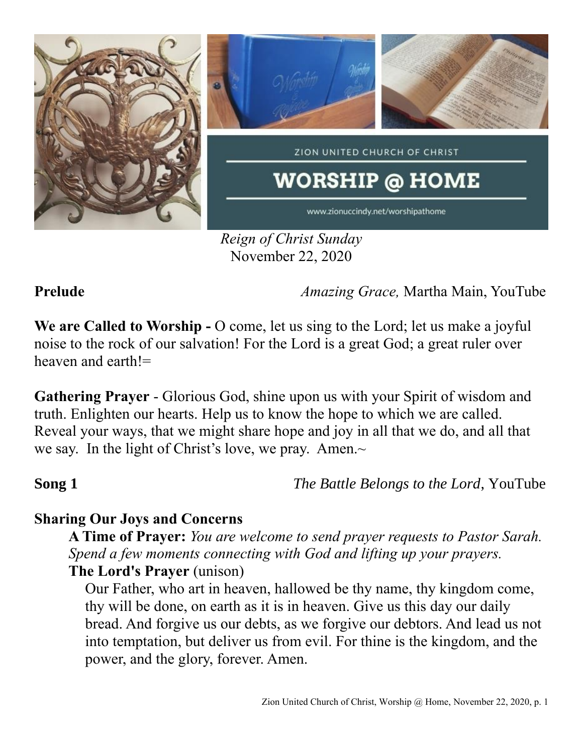

*Reign of Christ Sunday* November 22, 2020

**Prelude** *Amazing Grace,* Martha Main, YouTube

**We are Called to Worship -** O come, let us sing to the Lord; let us make a joyful noise to the rock of our salvation! For the Lord is a great God; a great ruler over heaven and earth!=

**Gathering Prayer** - Glorious God, shine upon us with your Spirit of wisdom and truth. Enlighten our hearts. Help us to know the hope to which we are called. Reveal your ways, that we might share hope and joy in all that we do, and all that we say. In the light of Christ's love, we pray. Amen. $\sim$ 

**Song 1** *The Battle Belongs to the Lord*, YouTube

## **Sharing Our Joys and Concerns**

**A Time of Prayer:** *You are welcome to send prayer requests to Pastor Sarah. Spend a few moments connecting with God and lifting up your prayers.* **The Lord's Prayer** (unison)

Our Father, who art in heaven, hallowed be thy name, thy kingdom come, thy will be done, on earth as it is in heaven. Give us this day our daily bread. And forgive us our debts, as we forgive our debtors. And lead us not into temptation, but deliver us from evil. For thine is the kingdom, and the power, and the glory, forever. Amen.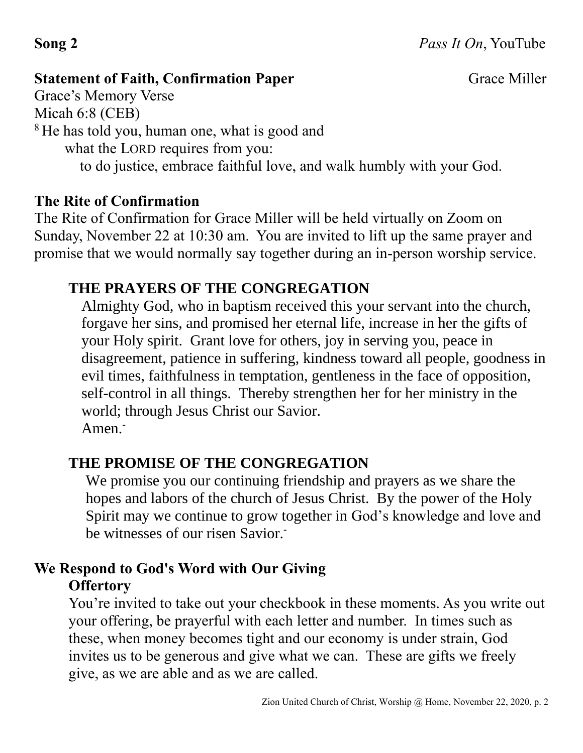## **Statement of Faith, Confirmation Paper Grace Miller** Grace Miller

Grace's Memory Verse

Micah 6:8 (CEB)

<sup>8</sup>He has told you, human one, what is good and

what the LORD requires from you:

to do justice, embrace faithful love, and walk humbly with your God.

# **The Rite of Confirmation**

The Rite of Confirmation for Grace Miller will be held virtually on Zoom on Sunday, November 22 at 10:30 am. You are invited to lift up the same prayer and promise that we would normally say together during an in-person worship service.

# **THE PRAYERS OF THE CONGREGATION**

Almighty God, who in baptism received this your servant into the church, forgave her sins, and promised her eternal life, increase in her the gifts of your Holy spirit. Grant love for others, joy in serving you, peace in disagreement, patience in suffering, kindness toward all people, goodness in evil times, faithfulness in temptation, gentleness in the face of opposition, self-control in all things. Thereby strengthen her for her ministry in the world; through Jesus Christ our Savior. Amen.<sup>-</sup>

# **THE PROMISE OF THE CONGREGATION**

We promise you our continuing friendship and prayers as we share the hopes and labors of the church of Jesus Christ. By the power of the Holy Spirit may we continue to grow together in God's knowledge and love and be witnesses of our risen Savior.

# **We Respond to God's Word with Our Giving Offertory**

You're invited to take out your checkbook in these moments. As you write out your offering, be prayerful with each letter and number. In times such as these, when money becomes tight and our economy is under strain, God invites us to be generous and give what we can. These are gifts we freely give, as we are able and as we are called.